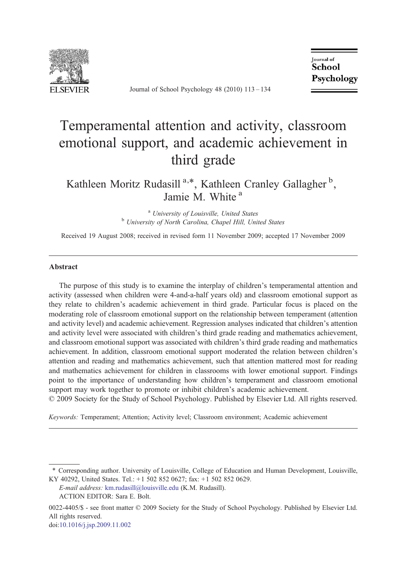

Journal of School Psychology 48 (2010) 113–134

**Journal** of School Psychology

# Temperamental attention and activity, classroom emotional support, and academic achievement in third grade

Kathleen Moritz Rudasill<sup>a,\*</sup>, Kathleen Cranley Gallagher<sup>b</sup>, Jamie M. White<sup>a</sup>

<sup>a</sup> University of Louisville, United States **b** University of North Carolina, Chapel Hill, United States

Received 19 August 2008; received in revised form 11 November 2009; accepted 17 November 2009

### Abstract

The purpose of this study is to examine the interplay of children's temperamental attention and activity (assessed when children were 4-and-a-half years old) and classroom emotional support as they relate to children's academic achievement in third grade. Particular focus is placed on the moderating role of classroom emotional support on the relationship between temperament (attention and activity level) and academic achievement. Regression analyses indicated that children's attention and activity level were associated with children's third grade reading and mathematics achievement, and classroom emotional support was associated with children's third grade reading and mathematics achievement. In addition, classroom emotional support moderated the relation between children's attention and reading and mathematics achievement, such that attention mattered most for reading and mathematics achievement for children in classrooms with lower emotional support. Findings point to the importance of understanding how children's temperament and classroom emotional support may work together to promote or inhibit children's academic achievement.

© 2009 Society for the Study of School Psychology. Published by Elsevier Ltd. All rights reserved.

Keywords: Temperament; Attention; Activity level; Classroom environment; Academic achievement

doi:[10.1016/j.jsp.2009.11.002](http://dx.doi.org/10.1016/j.jsp.2009.11.002)

<sup>⁎</sup> Corresponding author. University of Louisville, College of Education and Human Development, Louisville, KY 40292, United States. Tel.: +1 502 852 0627; fax: +1 502 852 0629.

E-mail address: [km.rudasill@louisville.edu](mailto:km.rudasill@louisville.edu) (K.M. Rudasill).

ACTION EDITOR: Sara E. Bolt.

<sup>0022-4405/\$ -</sup> see front matter © 2009 Society for the Study of School Psychology. Published by Elsevier Ltd. All rights reserved.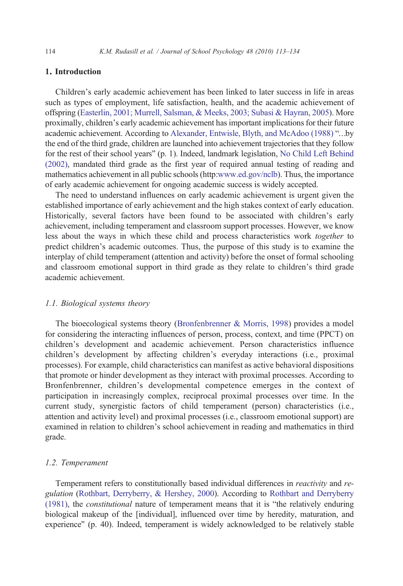## 1. Introduction

Children's early academic achievement has been linked to later success in life in areas such as types of employment, life satisfaction, health, and the academic achievement of offspring [\(Easterlin, 2001; Murrell, Salsman, & Meeks, 2003; Subasi & Hayran, 2005](#page--1-0)). More proximally, children's early academic achievement has important implications for their future academic achievement. According to [Alexander, Entwisle, Blyth, and McAdoo \(1988\)](#page--1-0) "…by the end of the third grade, children are launched into achievement trajectories that they follow for the rest of their school years" (p. 1). Indeed, landmark legislation, [No Child Left Behind](#page--1-0) [\(2002\)](#page--1-0), mandated third grade as the first year of required annual testing of reading and mathematics achievement in all public schools (http[:www.ed.gov/nclb](http://www.ed.gov/nclb)). Thus, the importance of early academic achievement for ongoing academic success is widely accepted.

The need to understand influences on early academic achievement is urgent given the established importance of early achievement and the high stakes context of early education. Historically, several factors have been found to be associated with children's early achievement, including temperament and classroom support processes. However, we know less about the ways in which these child and process characteristics work together to predict children's academic outcomes. Thus, the purpose of this study is to examine the interplay of child temperament (attention and activity) before the onset of formal schooling and classroom emotional support in third grade as they relate to children's third grade academic achievement.

### 1.1. Biological systems theory

The bioecological systems theory ([Bronfenbrenner & Morris, 1998\)](#page--1-0) provides a model for considering the interacting influences of person, process, context, and time (PPCT) on children's development and academic achievement. Person characteristics influence children's development by affecting children's everyday interactions (i.e., proximal processes). For example, child characteristics can manifest as active behavioral dispositions that promote or hinder development as they interact with proximal processes. According to Bronfenbrenner, children's developmental competence emerges in the context of participation in increasingly complex, reciprocal proximal processes over time. In the current study, synergistic factors of child temperament (person) characteristics (i.e., attention and activity level) and proximal processes (i.e., classroom emotional support) are examined in relation to children's school achievement in reading and mathematics in third grade.

#### 1.2. Temperament

Temperament refers to constitutionally based individual differences in reactivity and regulation [\(Rothbart, Derryberry, & Hershey, 2000\)](#page--1-0). According to [Rothbart and Derryberry](#page--1-0) [\(1981\)](#page--1-0), the constitutional nature of temperament means that it is "the relatively enduring biological makeup of the [individual], influenced over time by heredity, maturation, and experience" (p. 40). Indeed, temperament is widely acknowledged to be relatively stable